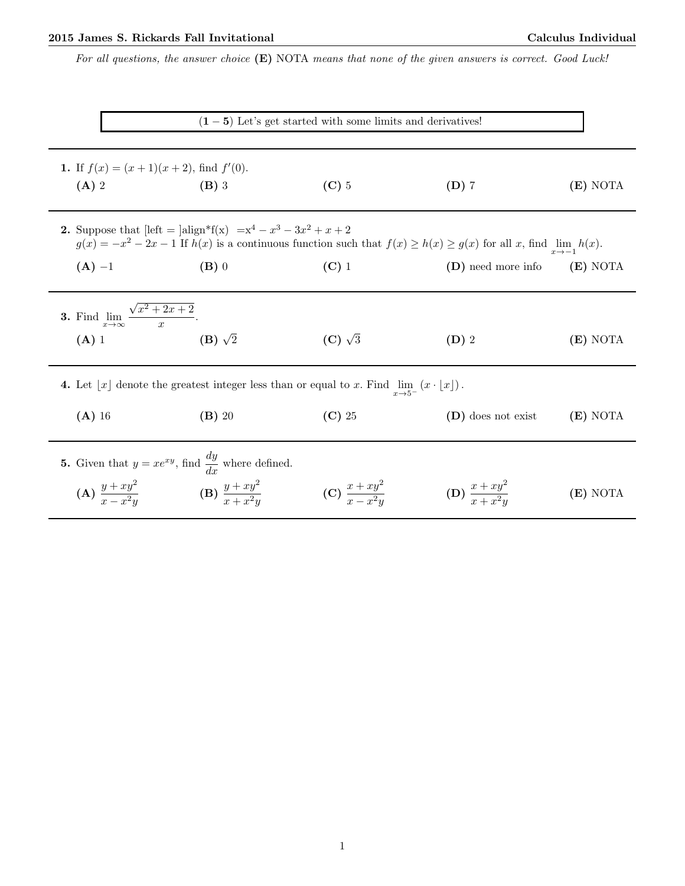## 2015 James S. Rickards Fall Invitational Calculus Individual

For all questions, the answer choice  $(E)$  NOTA means that none of the given answers is correct. Good Luck!

| $(1-5)$ Let's get started with some limits and derivatives!                                                                                                                                                                    |                                                                                                                                      |                             |                             |          |  |  |  |  |
|--------------------------------------------------------------------------------------------------------------------------------------------------------------------------------------------------------------------------------|--------------------------------------------------------------------------------------------------------------------------------------|-----------------------------|-----------------------------|----------|--|--|--|--|
| 1. If $f(x) = (x+1)(x+2)$ , find $f'(0)$ .<br>$(A)$ 2                                                                                                                                                                          | $(B)$ 3                                                                                                                              | $(C)$ 5                     | $(D)$ 7                     | (E) NOTA |  |  |  |  |
| <b>2.</b> Suppose that $[\text{left} = ]\text{align*}f(x) = x^4 - x^3 - 3x^2 + x + 2$<br>$g(x) = -x^2 - 2x - 1$ If $h(x)$ is a continuous function such that $f(x) \ge h(x) \ge g(x)$ for all x, find $\lim_{x \to -1} h(x)$ . |                                                                                                                                      |                             |                             |          |  |  |  |  |
| $(A) -1$                                                                                                                                                                                                                       | $(B)$ 0                                                                                                                              | $(C)$ 1                     | (D) need more info          | (E) NOTA |  |  |  |  |
|                                                                                                                                                                                                                                | <b>3.</b> Find $\lim_{x \to \infty} \frac{\sqrt{x^2 + 2x + 2}}{x}$ .                                                                 |                             |                             |          |  |  |  |  |
| $(A)$ 1                                                                                                                                                                                                                        | $(B)$ $\sqrt{2}$                                                                                                                     | $(C)$ $\sqrt{3}$            | $(D)$ 2                     | (E) NOTA |  |  |  |  |
|                                                                                                                                                                                                                                | 4. Let $\lfloor x \rfloor$ denote the greatest integer less than or equal to x. Find $\lim_{x\to 5^-} (x \cdot \lfloor x \rfloor)$ . |                             |                             |          |  |  |  |  |
| $(A)$ 16                                                                                                                                                                                                                       | $(B)$ 20                                                                                                                             | $(C)$ 25                    | (D) does not exist          | (E) NOTA |  |  |  |  |
| 5. Given that $y = xe^{xy}$ , find $\frac{dy}{dx}$ where defined.                                                                                                                                                              |                                                                                                                                      |                             |                             |          |  |  |  |  |
| (A) $\frac{y+xy^2}{x-x^2y}$                                                                                                                                                                                                    | (B) $\frac{y+xy^2}{x+x^2y}$                                                                                                          | (C) $\frac{x+xy^2}{x-x^2y}$ | (D) $\frac{x+xy^2}{x+x^2y}$ | (E) NOTA |  |  |  |  |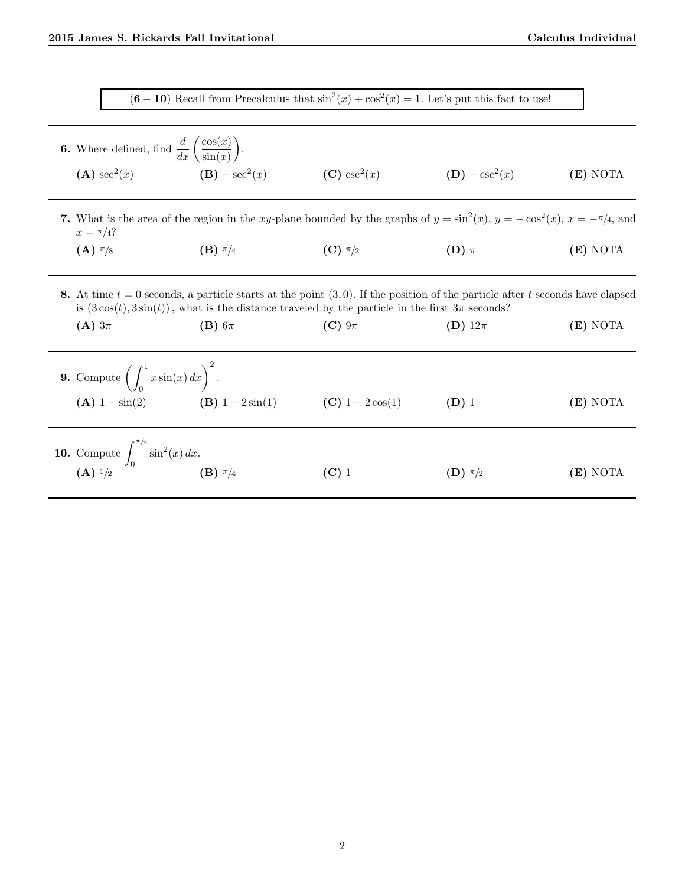$(6-10)$  Recall from Precalculus that  $\sin^2(x) + \cos^2(x) = 1$ . Let's put this fact to use!

**6.** Where defined, find  $\frac{d}{dx} \left( \frac{\cos(x)}{\sin(x)} \right)$  $sin(x)$  .  $(A) \sec^2(x)$  $(B) - \sec^2(x)$ (C)  $\csc^2(x)$  $(D) - \csc^2(x)$ (x) (E) NOTA

7. What is the area of the region in the xy-plane bounded by the graphs of  $y = sin^2(x)$ ,  $y = -cos^2(x)$ ,  $x = -\pi/4$ , and  $x = \frac{\pi}{4}$ ?

- (A)  $\pi/8$  (B)  $\pi/4$  (C)  $\pi/2$  (D)  $\pi$  (E) NOTA
- 8. At time  $t = 0$  seconds, a particle starts at the point  $(3, 0)$ . If the position of the particle after t seconds have elapsed is  $(3\cos(t), 3\sin(t))$ , what is the distance traveled by the particle in the first  $3\pi$  seconds?

| $(A)$ 3 $\pi$                                                                                       | $(B)$ 6 $\pi$    | $(C) 9\pi$       | (D) $12\pi$ | (E) NOTA |
|-----------------------------------------------------------------------------------------------------|------------------|------------------|-------------|----------|
| <b>9.</b> Compute $\left(\int_0^1 x \sin(x) dx\right)^2$ .<br>$(A)$ 1 – $sin(2)$                    | (B) $1-2\sin(1)$ | (C) $1-2\cos(1)$ | $(D)$ 1     | (E) NOTA |
| <b>10.</b> Compute $\int_0^{\pi/2} \sin^2(x) dx$ .<br><b>(A)</b> <sup>1</sup> /2 <b>(B)</b> $\pi/4$ |                  | $(C)$ 1          | $(D) \pi/2$ | (E) NOTA |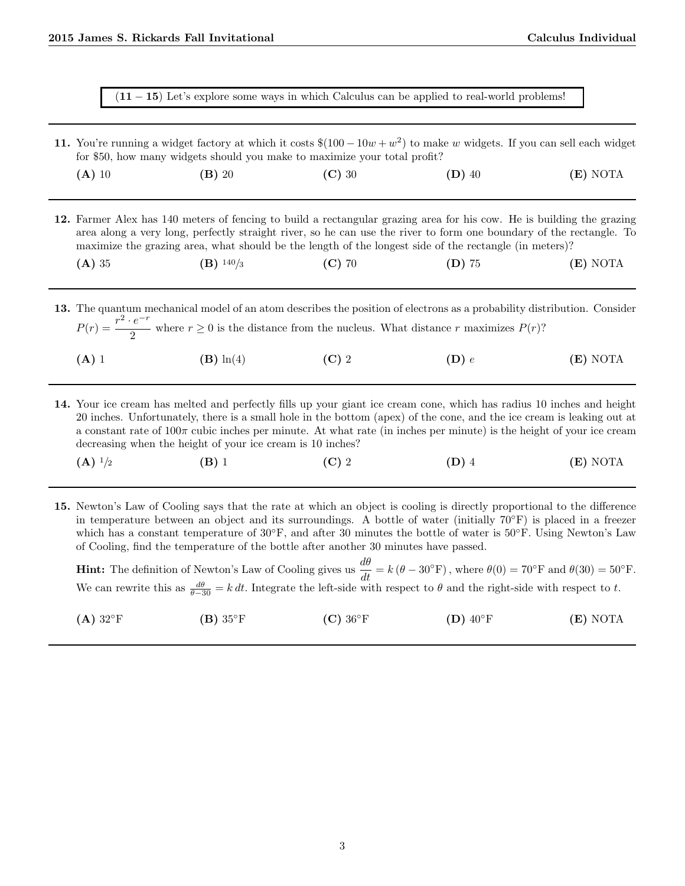| 11. You're running a widget factory at which it costs $\$(100 - 10w + w^2)$ to make w widgets. If you can sell each widget<br>for \$50, how many widgets should you make to maximize your total profit? |          |          |                                                                                                                                                                                                                                                                                                                                                        |            |
|---------------------------------------------------------------------------------------------------------------------------------------------------------------------------------------------------------|----------|----------|--------------------------------------------------------------------------------------------------------------------------------------------------------------------------------------------------------------------------------------------------------------------------------------------------------------------------------------------------------|------------|
| $(A)$ 10                                                                                                                                                                                                | $(B)$ 20 | $(C)$ 30 | $(D)$ 40                                                                                                                                                                                                                                                                                                                                               | $(E)$ NOTA |
|                                                                                                                                                                                                         |          |          |                                                                                                                                                                                                                                                                                                                                                        |            |
|                                                                                                                                                                                                         |          |          | 12. Farmer Alex has 140 meters of fencing to build a rectangular grazing area for his cow. He is building the grazing<br>area along a very long, perfectly straight river, so he can use the river to form one boundary of the rectangle. To<br>maximize the grazing area, what should be the length of the longest side of the rectangle (in meters)? |            |

 $P(r) = \frac{r^2 \cdot e^{-r}}{2}$ where  $r \geq 0$  is the distance from the nucleus. What distance r maximizes  $P(r)$ ?

- (A) 1 (B)  $\ln(4)$  (C) 2 (D) e (E) NOTA
- 14. Your ice cream has melted and perfectly fills up your giant ice cream cone, which has radius 10 inches and height 20 inches. Unfortunately, there is a small hole in the bottom (apex) of the cone, and the ice cream is leaking out at a constant rate of  $100\pi$  cubic inches per minute. At what rate (in inches per minute) is the height of your ice cream decreasing when the height of your ice cream is 10 inches?
	- (A)  $\frac{1}{2}$  (B) 1 (C) 2 (D) 4 (E) NOTA
- 15. Newton's Law of Cooling says that the rate at which an object is cooling is directly proportional to the difference in temperature between an object and its surroundings. A bottle of water (initially 70°F) is placed in a freezer which has a constant temperature of 30◦F, and after 30 minutes the bottle of water is 50◦F. Using Newton's Law of Cooling, find the temperature of the bottle after another 30 minutes have passed.

**Hint:** The definition of Newton's Law of Cooling gives us  $\frac{d\theta}{dt} = k(\theta - 30°\text{F})$ , where  $\theta(0) = 70°\text{F}$  and  $\theta(30) = 50°\text{F}$ . We can rewrite this as  $\frac{d\theta}{\theta-30} = k dt$ . Integrate the left-side with respect to  $\theta$  and the right-side with respect to t.

| $(A) 32^{\circ}F$<br>$(B) 35^{\circ}F$<br>$(D)$ 40°F<br>$(C) 36^{\circ}F$ | (E) NOTA |
|---------------------------------------------------------------------------|----------|
|---------------------------------------------------------------------------|----------|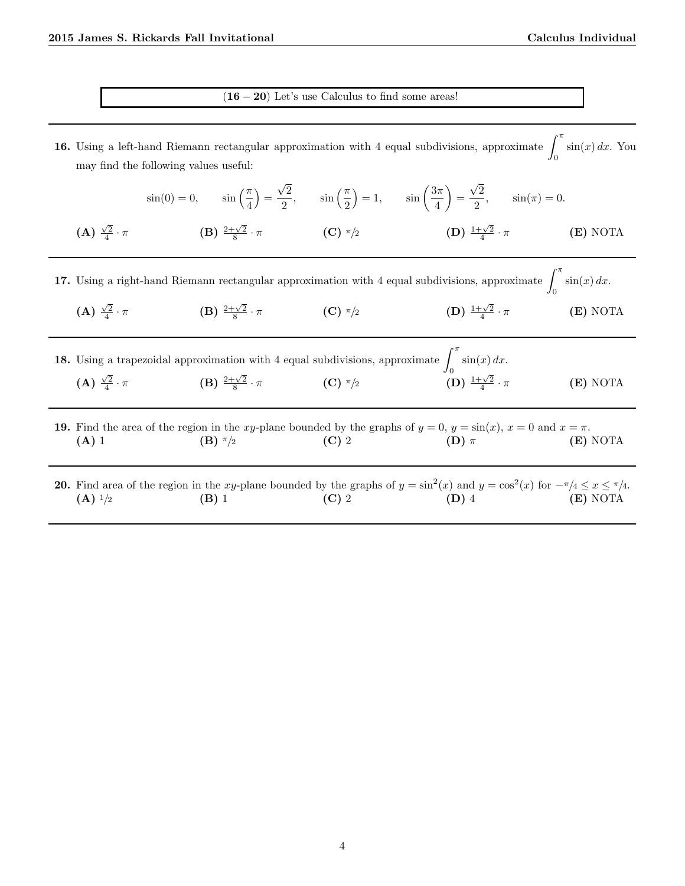$(16 - 20)$  Let's use Calculus to find some areas!

16. Using a left-hand Riemann rectangular approximation with 4 equal subdivisions, approximate  $\int_0^{\pi}$ 0  $\sin(x) dx$ . You may find the following values useful:

√

√

 $\sin(0) = 0, \qquad \sin\left(\frac{\pi}{4}\right)$  $=$ 2  $\frac{\sqrt{2}}{2}$ ,  $\sin\left(\frac{\pi}{2}\right)$  $= 1, \quad \sin \left( \frac{3\pi}{4} \right)$ 4  $=$ 2  $\frac{1}{2}$ ,  $\sin(\pi) = 0$ . (A)  $\frac{\sqrt{2}}{4}$  $\cdot \pi$  (B)  $\frac{2+\sqrt{2}}{8}$  $\left( \textbf{C} \right) \frac{\pi}{2}$  $\frac{-\sqrt{2}}{4}$ (E) NOTA 17. Using a right-hand Riemann rectangular approximation with 4 equal subdivisions, approximate  $\int^{\pi}$ 0  $\sin(x) dx$ . (A)  $\frac{\sqrt{2}}{4}$  $\cdot \pi$  (B)  $\frac{2+\sqrt{2}}{8}$  $\cdot \pi$  (C)  $\pi/2$  (D)  $\frac{1+\sqrt{2}}{4}$ **(E)** NOTA

| <b>18.</b> Using a trapezoidal approximation with 4 equal subdivisions, approximate $\int \sin(x) dx$ . |                                      |             |                                                         |            |
|---------------------------------------------------------------------------------------------------------|--------------------------------------|-------------|---------------------------------------------------------|------------|
| $(A) \frac{\sqrt{2}}{4} \cdot \pi$                                                                      | (B) $\frac{2+\sqrt{2}}{8} \cdot \pi$ | (C) $\pi/2$ | $\left(\mathbf{D}\right)\,\frac{1+\sqrt{2}}{4}\cdot\pi$ | $(E)$ NOTA |

19. Find the area of the region in the xy-plane bounded by the graphs of  $y = 0$ ,  $y = \sin(x)$ ,  $x = 0$  and  $x = \pi$ . (A) 1 (B)  $\pi/2$  (C) 2 (D)  $\pi$  (E) NOTA

**20.** Find area of the region in the xy-plane bounded by the graphs of  $y = \sin^2(x)$  and  $y = \cos^2(x)$  for  $-\pi/4 \leq x \leq \pi/4$ . (A)  $\frac{1}{2}$  (B) 1 (C) 2 (D) 4 (E) NOTA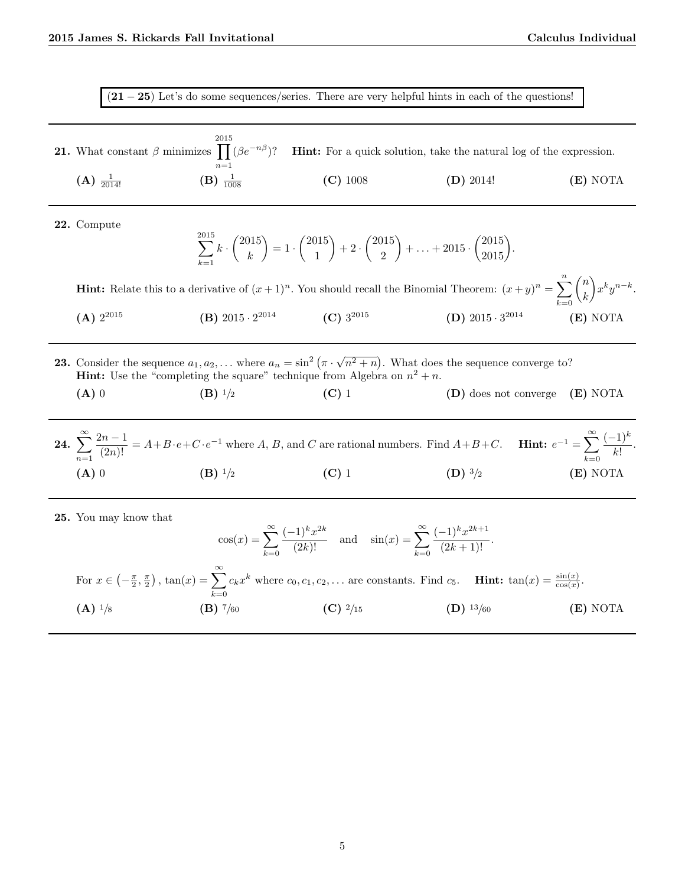$(21 – 25)$  Let's do some sequences/series. There are very helpful hints in each of the questions!